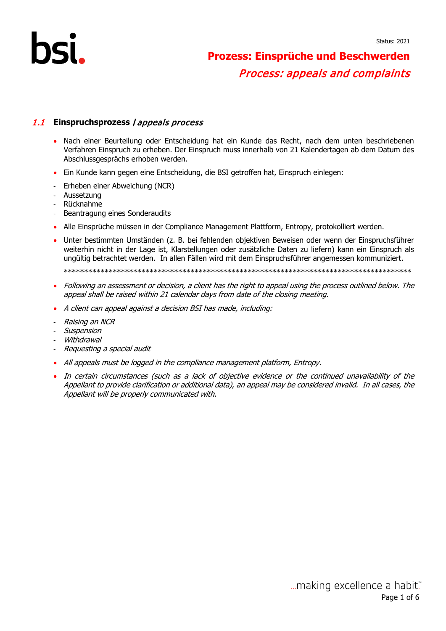#### 1.1 **Einspruchsprozess /**appeals process

- Nach einer Beurteilung oder Entscheidung hat ein Kunde das Recht, nach dem unten beschriebenen Verfahren Einspruch zu erheben. Der Einspruch muss innerhalb von 21 Kalendertagen ab dem Datum des Abschlussgesprächs erhoben werden.
- Ein Kunde kann gegen eine Entscheidung, die BSI getroffen hat, Einspruch einlegen:
- Erheben einer Abweichung (NCR)
- Aussetzung
- Rücknahme
- Beantragung eines Sonderaudits
- Alle Einsprüche müssen in der Compliance Management Plattform, Entropy, protokolliert werden.
- Unter bestimmten Umständen (z. B. bei fehlenden objektiven Beweisen oder wenn der Einspruchsführer weiterhin nicht in der Lage ist, Klarstellungen oder zusätzliche Daten zu liefern) kann ein Einspruch als ungültig betrachtet werden. In allen Fällen wird mit dem Einspruchsführer angemessen kommuniziert.

\*\*\*\*\*\*\*\*\*\*\*\*\*\*\*\*\*\*\*\*\*\*\*\*\*\*\*\*\*\*\*\*\*\*\*\*\*\*\*\*\*\*\*\*\*\*\*\*\*\*\*\*\*\*\*\*\*\*\*\*\*\*\*\*\*\*\*\*\*\*\*\*\*\*\*\*\*\*\*\*\*\*\*\*\*

- Following an assessment or decision, a client has the right to appeal using the process outlined below. The appeal shall be raised within 21 calendar days from date of the closing meeting.
- A client can appeal against a decision BSI has made, including:
- Raising an NCR
- Suspension
- Withdrawal
- Requesting a special audit
- All appeals must be logged in the compliance management platform, Entropy.
- In certain circumstances (such as a lack of objective evidence or the continued unavailability of the Appellant to provide clarification or additional data), an appeal may be considered invalid. In all cases, the Appellant will be properly communicated with.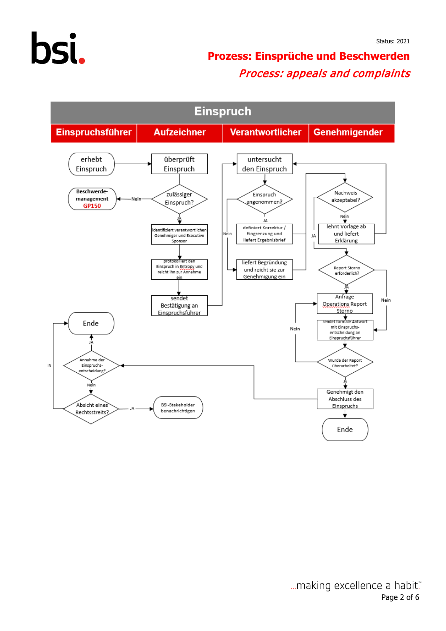



... making excellence a habit." Page 2 of 6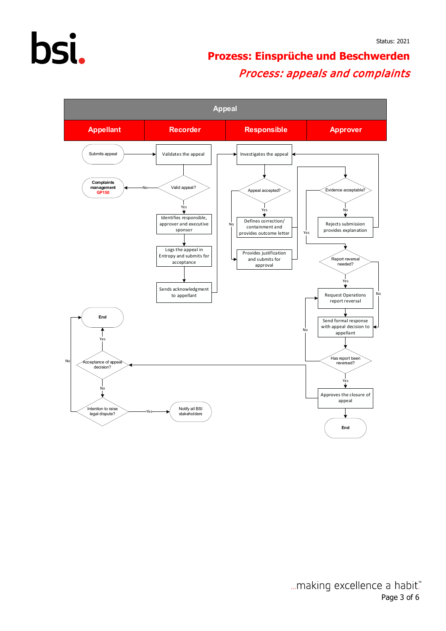# bsi.

## **Prozess: Einsprüche und Beschwerden** Process: appeals and complaints

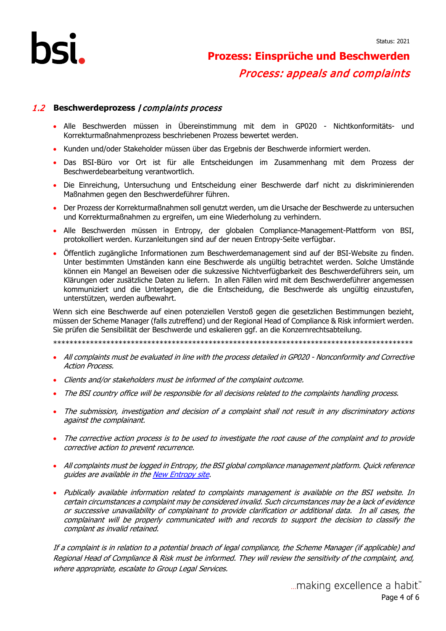#### 1.2 **Beschwerdeprozess /**complaints process

- Alle Beschwerden müssen in Übereinstimmung mit dem in GP020 Nichtkonformitäts- und Korrekturmaßnahmenprozess beschriebenen Prozess bewertet werden.
- Kunden und/oder Stakeholder müssen über das Ergebnis der Beschwerde informiert werden.
- Das BSI-Büro vor Ort ist für alle Entscheidungen im Zusammenhang mit dem Prozess der Beschwerdebearbeitung verantwortlich.
- Die Einreichung, Untersuchung und Entscheidung einer Beschwerde darf nicht zu diskriminierenden Maßnahmen gegen den Beschwerdeführer führen.
- Der Prozess der Korrekturmaßnahmen soll genutzt werden, um die Ursache der Beschwerde zu untersuchen und Korrekturmaßnahmen zu ergreifen, um eine Wiederholung zu verhindern.
- Alle Beschwerden müssen in Entropy, der globalen Compliance-Management-Plattform von BSI, protokolliert werden. Kurzanleitungen sind auf der neuen Entropy-Seite verfügbar.
- Öffentlich zugängliche Informationen zum Beschwerdemanagement sind auf der BSI-Website zu finden. Unter bestimmten Umständen kann eine Beschwerde als ungültig betrachtet werden. Solche Umstände können ein Mangel an Beweisen oder die sukzessive Nichtverfügbarkeit des Beschwerdeführers sein, um Klärungen oder zusätzliche Daten zu liefern. In allen Fällen wird mit dem Beschwerdeführer angemessen kommuniziert und die Unterlagen, die die Entscheidung, die Beschwerde als ungültig einzustufen, unterstützen, werden aufbewahrt.

Wenn sich eine Beschwerde auf einen potenziellen Verstoß gegen die gesetzlichen Bestimmungen bezieht, müssen der Scheme Manager (falls zutreffend) und der Regional Head of Compliance & Risk informiert werden. Sie prüfen die Sensibilität der Beschwerde und eskalieren ggf. an die Konzernrechtsabteilung.

\*\*\*\*\*\*\*\*\*\*\*\*\*\*\*\*\*\*\*\*\*\*\*\*\*\*\*\*\*\*\*\*\*\*\*\*\*\*\*\*\*\*\*\*\*\*\*\*\*\*\*\*\*\*\*\*\*\*\*\*\*\*\*\*\*\*\*\*\*\*\*\*\*\*\*\*\*\*\*\*\*\*\*\*\*\*\*\*

- All complaints must be evaluated in line with the process detailed in GP020 Nonconformity and Corrective Action Process.
- Clients and/or stakeholders must be informed of the complaint outcome.
- The BSI country office will be responsible for all decisions related to the complaints handling process.
- The submission, investigation and decision of a complaint shall not result in any discriminatory actions against the complainant.
- The corrective action process is to be used to investigate the root cause of the complaint and to provide corrective action to prevent recurrence.
- All complaints must be logged in Entropy, the BSI global compliance management platform. Quick reference guides are available in th[e New Entropy](https://intranet.bsi-global.com/MyServices/InternalTools/EntropyInternalApp/SitePages/Home.aspx) site.
- Publically available information related to complaints management is available on the BSI website. In certain circumstances a complaint may be considered invalid. Such circumstances may be a lack of evidence or successive unavailability of complainant to provide clarification or additional data. In all cases, the complainant will be properly communicated with and records to support the decision to classify the complant as invalid retained.

If a complaint is in relation to a potential breach of legal compliance, the Scheme Manager (if applicable) and Regional Head of Compliance & Risk must be informed. They will review the sensitivity of the complaint, and, where appropriate, escalate to Group Legal Services.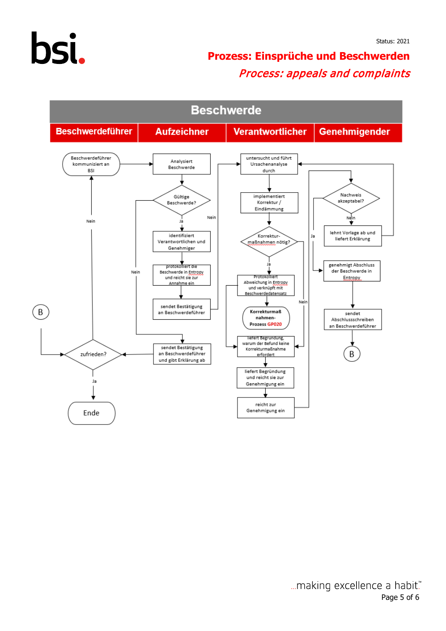